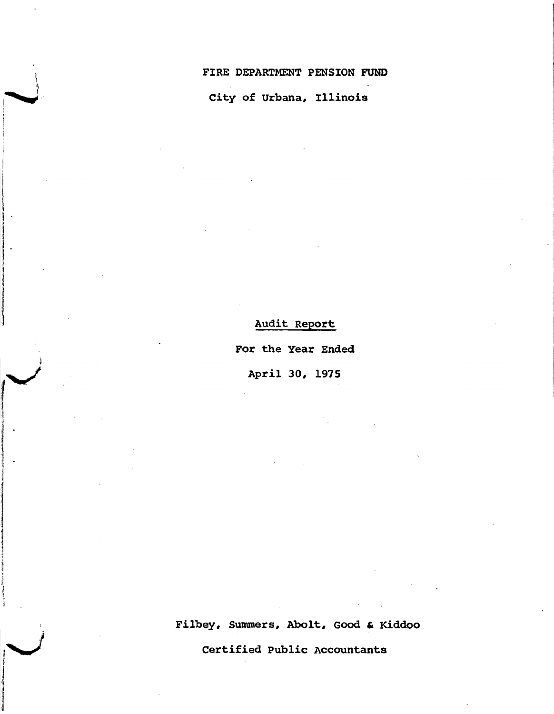## FIRE DEPARTMENT PENSION FUND

City of Urbana, Illinois

Audit Report

For the Year Ended

April 30, 1975

Filbey, Summers, Abolt, GOod & Kiddoo

Certified Public Accountants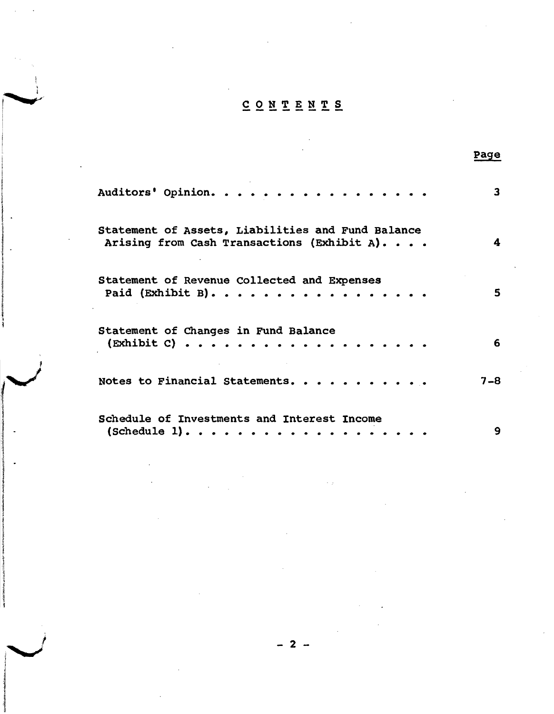# CONTENTS **--------**

Page

**International Sedermann Career** 

ical est verbidigitat en la facta de la constantia de la constantia de la facta de la constantia de la facta d<br>Establista de la facta de la facta de la facta de la facta de la facta de la facta de la facta de la facta de

| Auditors' Opinion.                                                                                                                              | 3   |
|-------------------------------------------------------------------------------------------------------------------------------------------------|-----|
| Statement of Assets, Liabilities and Fund Balance<br>Arising from Cash Transactions (Exhibit A).                                                | 4   |
| Statement of Revenue Collected and Expenses<br>Paid (Exhibit B).                                                                                | 5.  |
| Statement of Changes in Fund Balance<br>$(x\text{hibit C}) \cdot \cdot \cdot \cdot \cdot \cdot \cdot \cdot \cdot \cdot \cdot \cdot \cdot \cdot$ | 6   |
| Notes to Financial Statements.                                                                                                                  | 7–8 |
| Schedule of Investments and Interest Income<br>(Schedule 1).                                                                                    | 9   |

 $\overline{2}$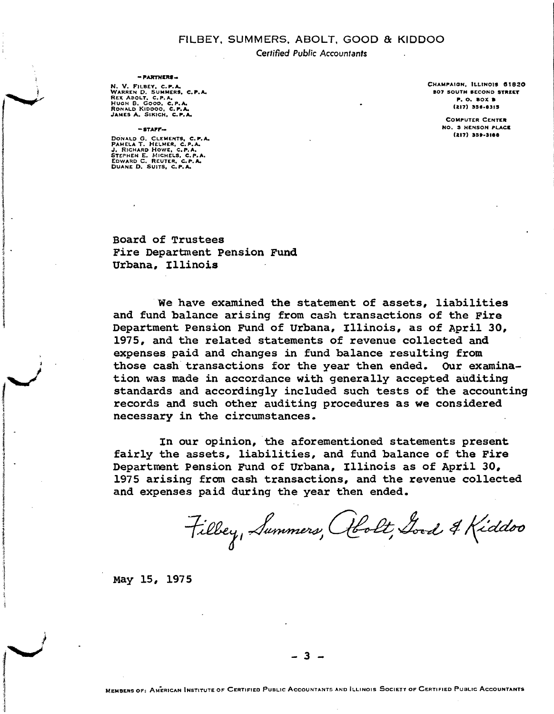#### FILBEY, SUMMERS, ABOLT, GOOD & KIDDOO

**Certified Public Accountants** 

 $-$  PARTNERS $-$ 

N. V. FILBEY, C.P.A.<br>WARREN D. SUMMERS, C.P.A.<br>REX ABOLT, C.P.A.<br>HUGH B. GOOD, C.P.A.<br>RONALD KIDDOO, C.P.A. JAMES A. SIKICH, C.P.A.

 $-$ STAFF $-$ 

DONALD G. CLEMENTS, C.P.A.<br>PAMELA T. HELMER, C.P.A.<br>J. RICHARD HOWE, C.P.A.<br>STEPHEN E. MICHELS, C.P.A.<br>EDWARD C. REUTER, C.P.A. DUANE D. SUITS, C.P.A.

CHAMPAIGN, ILLINOIS 61820 **807 SOUTH SECOND STREET**  $P. O. BOX B$  $(217) 356 - 8315$ 

> **COMPUTER CENTER** NO. 3 HENSON PLACE  $(217)$  359-3188

Board of Trustees Fire Department Pension Fund Urbana, Illinois

We have examined the statement of assets, liabilities and fund balance arising from cash transactions of the Fire Department Pension Fund of Urbana, Illinois, as of April 30, 1975, and the related statements of revenue collected and expenses paid and changes in fund balance resulting from those cash transactions for the year then ended. Our examination was made in accordance with generally accepted auditing standards and accordingly included such tests of the accounting records and such other auditing procedures as we considered necessary in the circumstances.

In our opinion, the aforementioned statements present fairly the assets, liabilities, and fund balance of the Fire Department Pension Fund of Urbana, Illinois as of April 30, 1975 arising from cash transactions, and the revenue collected and expenses paid during the year then ended.

Filbey, Summers, Cibolt, Good & Kiddoo

May 15, 1975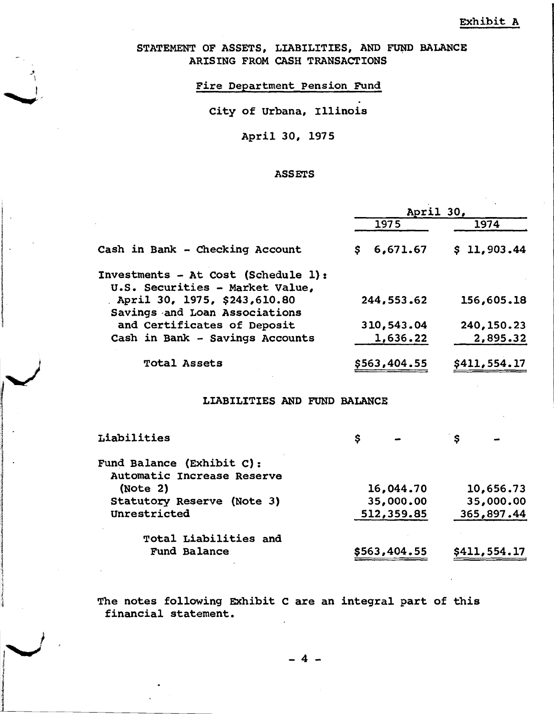STATEMENT OF ASSETS, LIABILITIES, AND FUND BALANCE ARISING FROM CASH TRANSACTIONS

Fire Department pension Fund

City of Urbana, Illinois

April 30, 1975

#### ASSETS

|                                     |    | April 30,    |              |              |
|-------------------------------------|----|--------------|--------------|--------------|
|                                     |    | 1975         |              | 1974         |
| Cash in Bank - Checking Account     | \$ | 6,671.67     |              | \$11,903.44  |
| Investments - At Cost (Schedule 1): |    |              |              |              |
| U.S. Securities - Market Value,     |    |              |              |              |
| April 30, 1975, \$243,610.80        |    | 244,553.62   |              | 156,605.18   |
| Savings and Loan Associations       |    |              |              |              |
| and Certificates of Deposit         |    | 310,543.04   |              | 240, 150. 23 |
| Cash in Bank - Savings Accounts     |    | 1,636.22     |              | 2,895.32     |
| <b>Total Assets</b>                 |    | \$563,404.55 |              | \$411,554.17 |
| LIABILITIES AND FUND BALANCE        |    |              |              |              |
| Liabilities                         | \$ |              | $\mathsf{s}$ |              |
| Fund Balance (Exhibit C):           |    |              |              |              |
| Automatic Increase Reserve          |    |              |              |              |
| (Note 2)                            |    | 16,044.70    |              | 10,656.73    |
| Statutory Reserve (Note 3)          |    | 35,000.00    |              | 35,000.00    |
| Unrestricted                        |    | 512,359.85   |              | 365,897.44   |
| Total Liabilities and               |    |              |              |              |
| <b>Fund Balance</b>                 |    | \$563,404.55 |              | \$411,554.17 |

The notes following Exhibit C are an integral part of this financial statement.

 $\boldsymbol{\Lambda}$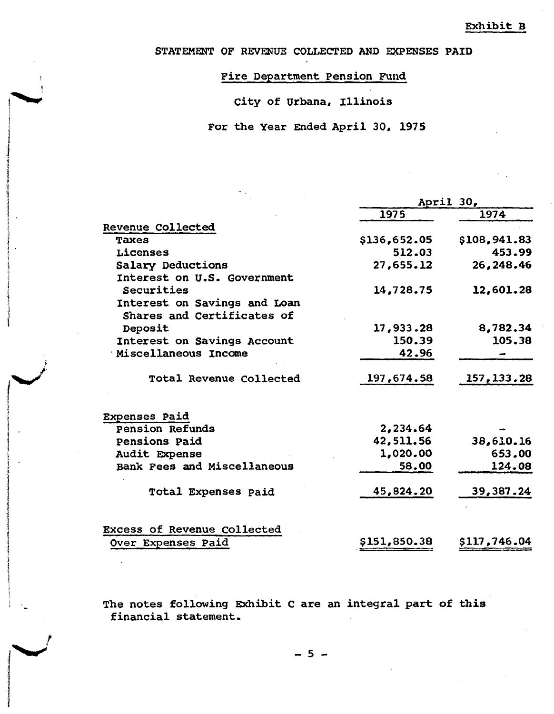STATEMENT OF REVENUE COLLECTED AND EXPENSES PAID

Fire Department Pension Fund

City of Urbana, Illinois

For the Year Ended April 30, 1975

|                                                          | April 30,    |              |
|----------------------------------------------------------|--------------|--------------|
|                                                          | 1975         | 1974         |
| Revenue Collected                                        |              |              |
| <b>Taxes</b>                                             | \$136,652.05 | \$108,941.83 |
| Licenses                                                 | 512.03       | 453.99       |
| Salary Deductions                                        | 27,655.12    | 26,248.46    |
| Interest on U.S. Government                              |              |              |
| Securities                                               | 14,728.75    | 12,601.28    |
| Interest on Savings and Loan                             |              |              |
| Shares and Certificates of                               |              |              |
| Deposit                                                  | 17,933.28    | 8,782.34     |
| Interest on Savings Account                              | 150.39       | 105.38       |
| Miscellaneous Income                                     | 42.96        |              |
| Total Revenue Collected                                  | 197,674.58   | 157, 133.28  |
| <b>Expenses Paid</b>                                     |              |              |
| Pension Refunds                                          | 2,234.64     |              |
| Pensions Paid                                            | 42,511.56    | 38,610.16    |
| Audit Expense                                            | 1,020.00     | 653.00       |
| Bank Fees and Miscellaneous                              | 58.00        | 124.08       |
| <b>Total Expenses paid</b>                               | 45,824.20    | 39,387.24    |
| <b>Excess of Revenue Collected</b><br>Over Expenses Paid | \$151,850.38 | \$117,746.04 |

The notes following Exhibit C are an integral part of this financial statement.

i

J

;<br>;

 $\begin{bmatrix} \phantom{-}\end{bmatrix}$ 

- 5 -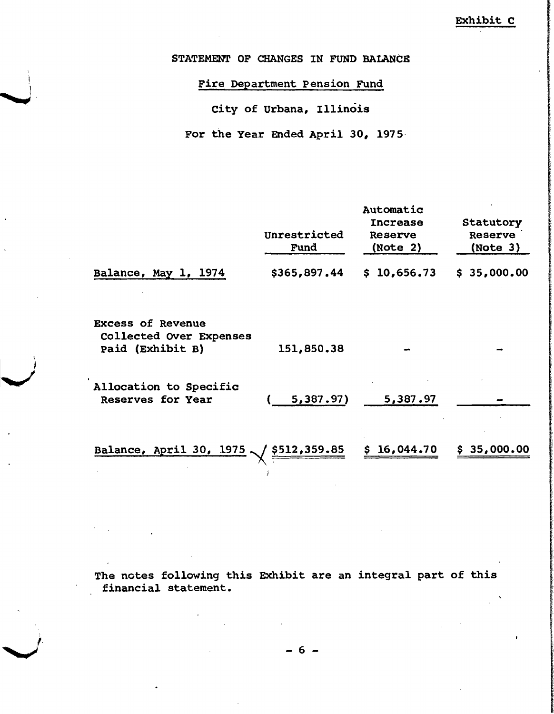Exhibit C

STATEMENT OF CHANGES IN FUND BALANCE

Fire Department Pension Fund

i  $\overline{\phantom{a}}$ 

City of Urbana, Illinois

For the Year Ended April 30, 1975·

|                                                                         | Unrestricted<br>Fund | Automatic<br><b>Increase</b><br><b>Reserve</b><br>(Note 2) | Statutory<br><b>Reserve</b><br>(Note 3) |
|-------------------------------------------------------------------------|----------------------|------------------------------------------------------------|-----------------------------------------|
| Balance, May 1, 1974                                                    | \$365,897.44         | 10,656.73<br>S.                                            | \$35,000.00                             |
| <b>Excess of Revenue</b><br>Collected Over Expenses<br>Paid (Exhibit B) | 151,850.38           |                                                            |                                         |
| Allocation to Specific<br>Reserves for Year                             | 5,387.97)            | 5,387.97                                                   |                                         |
| Balance, April 30, 1975                                                 | \$512,359.85         | 16,044.70<br>S.                                            | \$35,000.00                             |

The notes following this Exhibit are an integral part of this financial statement.

 $\mathfrak{g}$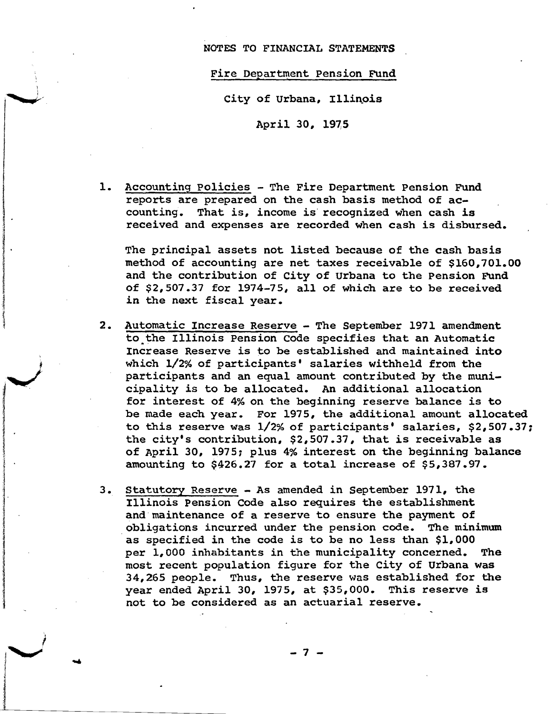#### NOTES TO FINANCIAL STATEMENTS

Fire Department Pension Fund

City of Urbana, Illinois

April 30, 1975

1. Accounting Policies - The Fire Department Pension Fund reports are prepared on the cash basis method of accounting. That is, income is recognized when cash is received and expenses are recorded when cash is disbursed.

The principal assets not listed because of the cash basis method of accounting are net taxes receivable of \$160,701.00 and the contribution of City of urbana to the Pension Fund of \$2,507.37 for 1974-75, all of which are to be received in the next fiscal year.

- 2. Automatic Increase Reserve The September 1971 amendment to the Illinois Pension Code specifies that an Automatic Increase Reserve is to be established and maintained into which 1/2% of participants' salaries withheld from the participants and an equal amount contributed by the municipality is to be allocated. An additional allocation for interest of 4% on the beginning reserve balance is to be made each year. For 1975, the additional amount allocated to this reserve was 1/2% of participants' salaries, \$2,507.37: the city's contribution, \$2,507.37, that is receivable as of April 30, 1975: plus 4% interest on the beginning balance amounting to \$426.27 for a total increase of \$5,387.97.
- 3. Statutory Reserve As amended in September 1971, the Illinois Pension Code also requires the establishment and maintenance of a reserve to ensure the payment of obligations incurred under the pension code. The minimum as specified in the code is to be no less than \$1,000 per 1,000 inhabitants in the municipality concerned. The most recent population figure for the city of urbana was 34,265 people. Thus, the reserve was established for the year ended April 30, 1975, at \$35,000. This reserve is not to be considered as an actuarial reserve.

- 7 -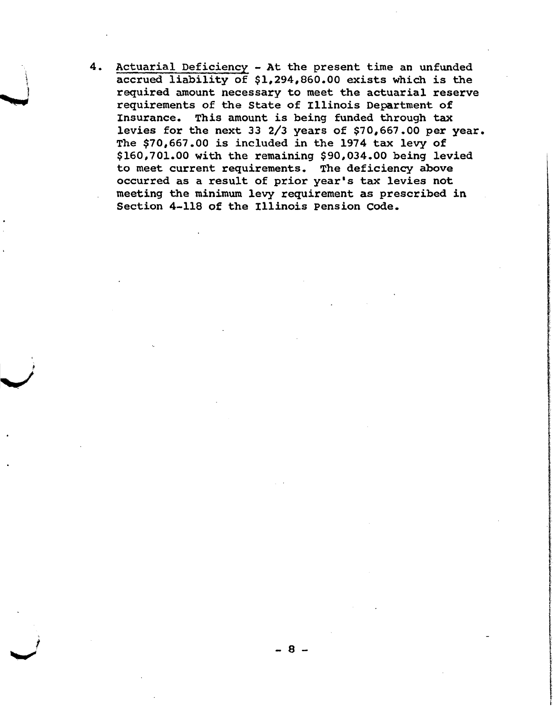Actuarial Deficiency - At the present time an unfunded 4. accrued liability of \$1,294,860.00 exists which is the required amount necessary to meet the actuarial reserve requirements of the State of Illinois Department of Insurance. This amount is being funded through tax levies for the next 33 2/3 years of \$70,667.00 per year. The \$70,667.00 is included in the 1974 tax levy of \$160,701.00 with the remaining \$90,034.00 being levied to meet current requirements. The deficiency above occurred as a result of prior year's tax levies not meeting the minimum levy requirement as prescribed in Section 4-118 of the Illinois Pension Code.